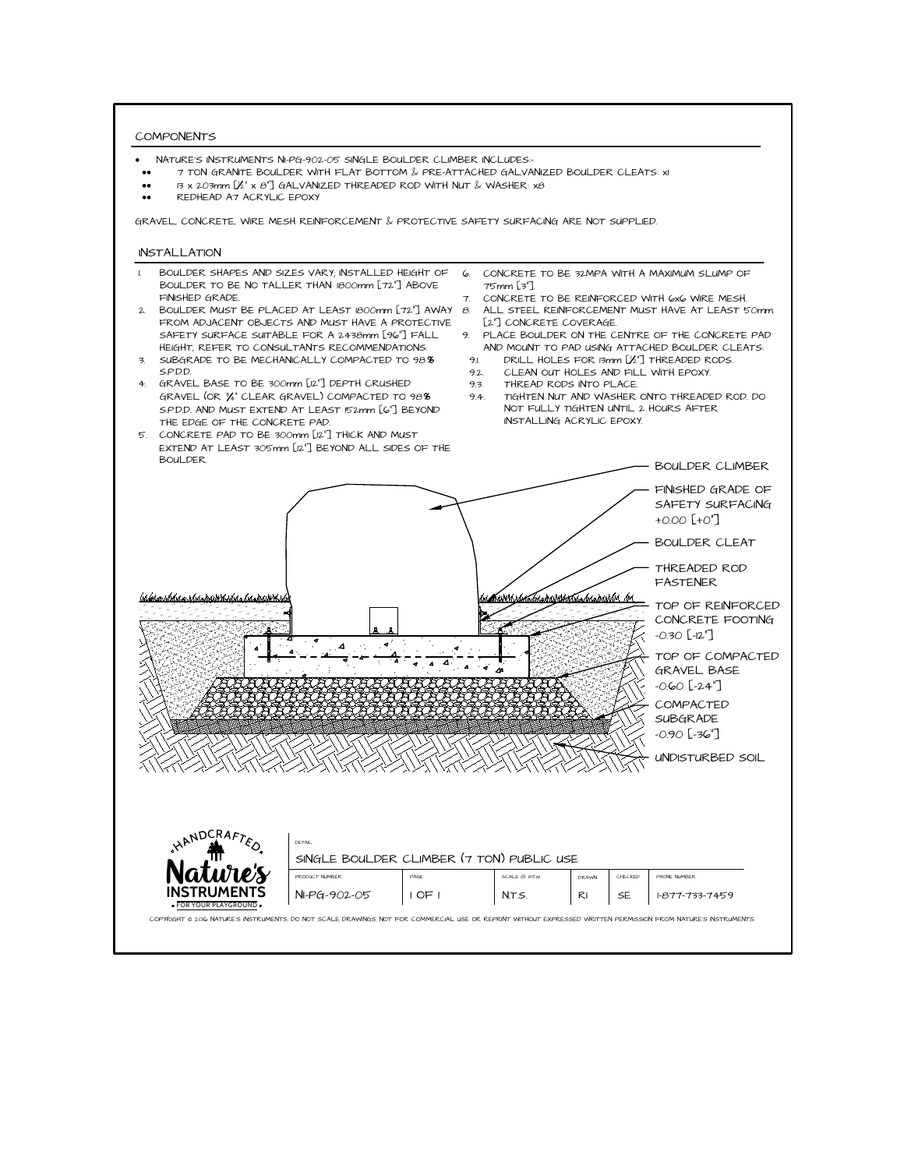